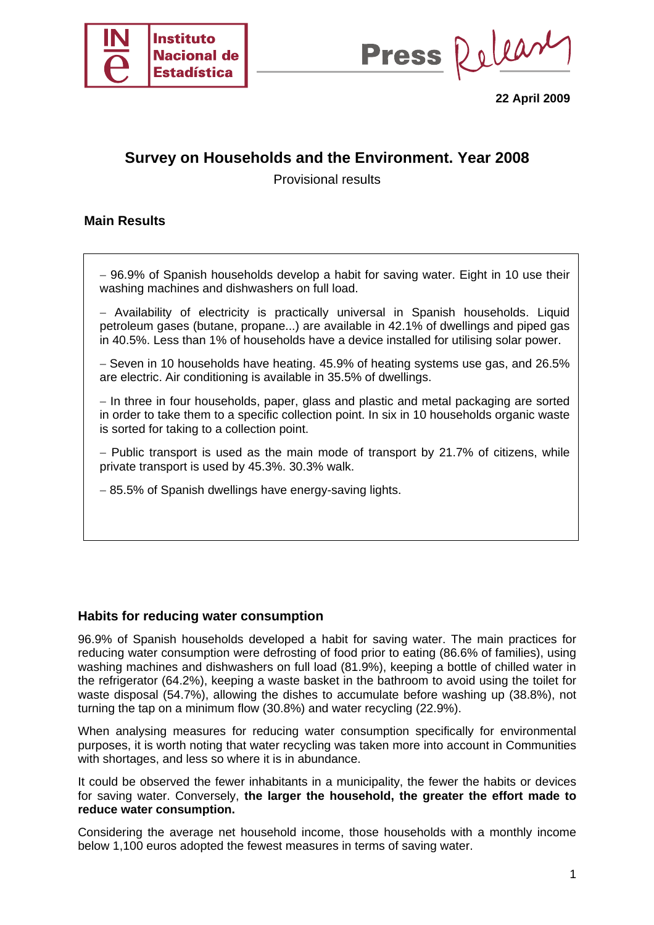

Press Relear

**22 April 2009** 

# **Survey on Households and the Environment. Year 2008**

Provisional results

### **Main Results**

− 96.9% of Spanish households develop a habit for saving water. Eight in 10 use their washing machines and dishwashers on full load.

− Availability of electricity is practically universal in Spanish households. Liquid petroleum gases (butane, propane...) are available in 42.1% of dwellings and piped gas in 40.5%. Less than 1% of households have a device installed for utilising solar power.

− Seven in 10 households have heating. 45.9% of heating systems use gas, and 26.5% are electric. Air conditioning is available in 35.5% of dwellings.

− In three in four households, paper, glass and plastic and metal packaging are sorted in order to take them to a specific collection point. In six in 10 households organic waste is sorted for taking to a collection point.

− Public transport is used as the main mode of transport by 21.7% of citizens, while private transport is used by 45.3%. 30.3% walk.

− 85.5% of Spanish dwellings have energy-saving lights.

#### **Habits for reducing water consumption**

96.9% of Spanish households developed a habit for saving water. The main practices for reducing water consumption were defrosting of food prior to eating (86.6% of families), using washing machines and dishwashers on full load (81.9%), keeping a bottle of chilled water in the refrigerator (64.2%), keeping a waste basket in the bathroom to avoid using the toilet for waste disposal (54.7%), allowing the dishes to accumulate before washing up (38.8%), not turning the tap on a minimum flow (30.8%) and water recycling (22.9%).

When analysing measures for reducing water consumption specifically for environmental purposes, it is worth noting that water recycling was taken more into account in Communities with shortages, and less so where it is in abundance.

It could be observed the fewer inhabitants in a municipality, the fewer the habits or devices for saving water. Conversely, **the larger the household, the greater the effort made to reduce water consumption.** 

Considering the average net household income, those households with a monthly income below 1,100 euros adopted the fewest measures in terms of saving water.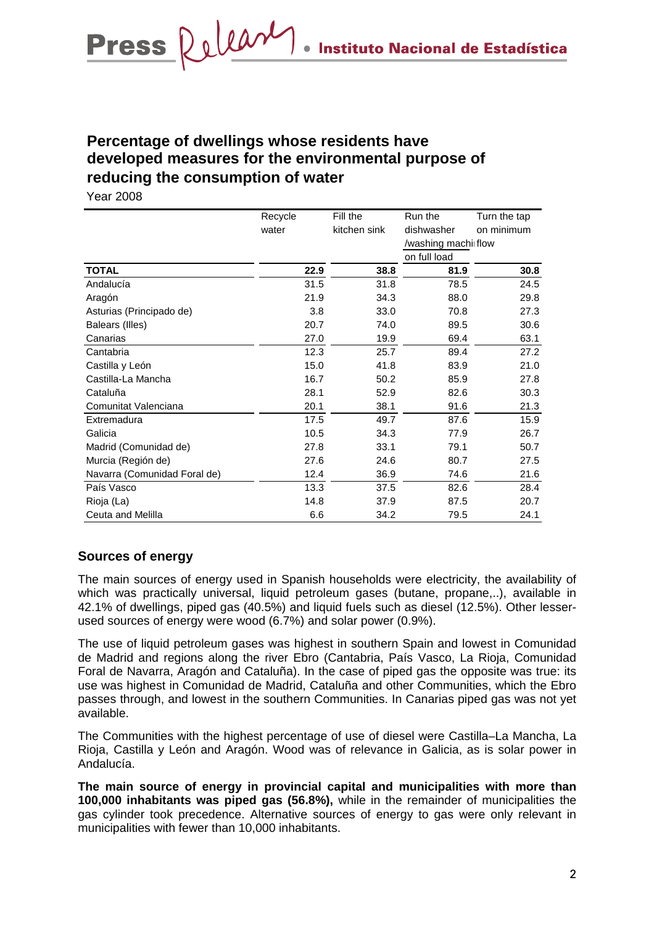# **Percentage of dwellings whose residents have developed measures for the environmental purpose of reducing the consumption of water**

Year 2008

|                              | Recycle | Fill the     | Run the             | Turn the tap |
|------------------------------|---------|--------------|---------------------|--------------|
|                              | water   | kitchen sink | dishwasher          | on minimum   |
|                              |         |              | /washing machi flow |              |
|                              |         |              | on full load        |              |
| <b>TOTAL</b>                 | 22.9    | 38.8         | 81.9                | 30.8         |
| Andalucía                    | 31.5    | 31.8         | 78.5                | 24.5         |
| Aragón                       | 21.9    | 34.3         | 88.0                | 29.8         |
| Asturias (Principado de)     | 3.8     | 33.0         | 70.8                | 27.3         |
| Balears (Illes)              | 20.7    | 74.0         | 89.5                | 30.6         |
| Canarias                     | 27.0    | 19.9         | 69.4                | 63.1         |
| Cantabria                    | 12.3    | 25.7         | 89.4                | 27.2         |
| Castilla y León              | 15.0    | 41.8         | 83.9                | 21.0         |
| Castilla-La Mancha           | 16.7    | 50.2         | 85.9                | 27.8         |
| Cataluña                     | 28.1    | 52.9         | 82.6                | 30.3         |
| Comunitat Valenciana         | 20.1    | 38.1         | 91.6                | 21.3         |
| Extremadura                  | 17.5    | 49.7         | 87.6                | 15.9         |
| Galicia                      | 10.5    | 34.3         | 77.9                | 26.7         |
| Madrid (Comunidad de)        | 27.8    | 33.1         | 79.1                | 50.7         |
| Murcia (Región de)           | 27.6    | 24.6         | 80.7                | 27.5         |
| Navarra (Comunidad Foral de) | 12.4    | 36.9         | 74.6                | 21.6         |
| País Vasco                   | 13.3    | 37.5         | 82.6                | 28.4         |
| Rioja (La)                   | 14.8    | 37.9         | 87.5                | 20.7         |
| Ceuta and Melilla            | 6.6     | 34.2         | 79.5                | 24.1         |

## **Sources of energy**

The main sources of energy used in Spanish households were electricity, the availability of which was practically universal, liquid petroleum gases (butane, propane,..), available in 42.1% of dwellings, piped gas (40.5%) and liquid fuels such as diesel (12.5%). Other lesserused sources of energy were wood (6.7%) and solar power (0.9%).

The use of liquid petroleum gases was highest in southern Spain and lowest in Comunidad de Madrid and regions along the river Ebro (Cantabria, País Vasco, La Rioja, Comunidad Foral de Navarra, Aragón and Cataluña). In the case of piped gas the opposite was true: its use was highest in Comunidad de Madrid, Cataluña and other Communities, which the Ebro passes through, and lowest in the southern Communities. In Canarias piped gas was not yet available.

The Communities with the highest percentage of use of diesel were Castilla–La Mancha, La Rioja, Castilla y León and Aragón. Wood was of relevance in Galicia, as is solar power in Andalucía.

**The main source of energy in provincial capital and municipalities with more than 100,000 inhabitants was piped gas (56.8%),** while in the remainder of municipalities the gas cylinder took precedence. Alternative sources of energy to gas were only relevant in municipalities with fewer than 10,000 inhabitants.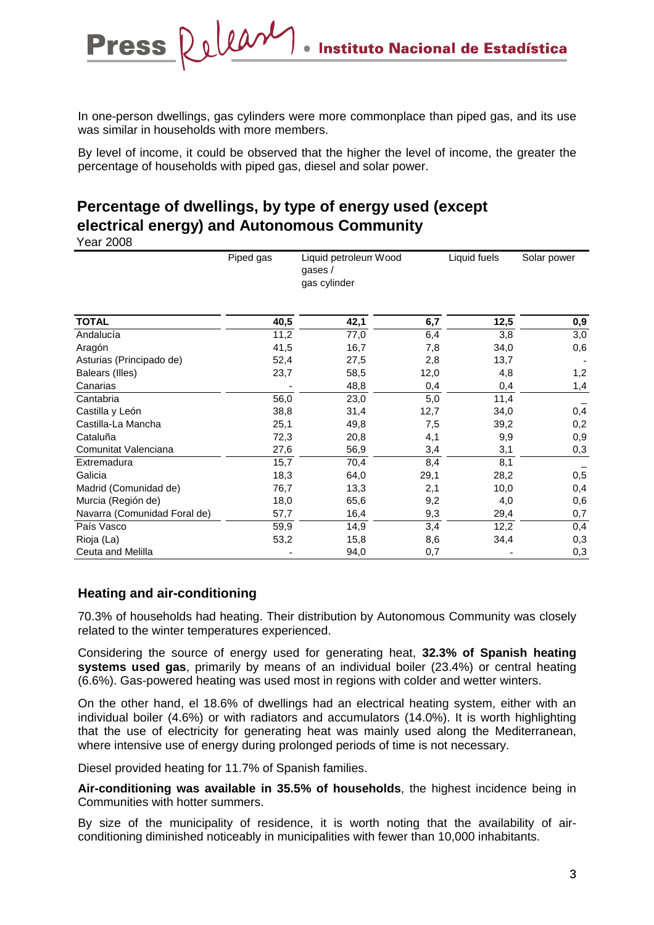In one-person dwellings, gas cylinders were more commonplace than piped gas, and its use was similar in households with more members.

By level of income, it could be observed that the higher the level of income, the greater the percentage of households with piped gas, diesel and solar power.

# **Percentage of dwellings, by type of energy used (except electrical energy) and Autonomous Community**

Release

Year 2008

**Press** 

|                              | Piped gas | Liquid petroleun Wood<br>gases $/$<br>gas cylinder |      | Liquid fuels | Solar power |  |
|------------------------------|-----------|----------------------------------------------------|------|--------------|-------------|--|
| <b>TOTAL</b>                 | 40,5      | 42,1                                               | 6,7  | 12,5         | 0,9         |  |
| Andalucía                    | 11,2      | 77,0                                               | 6,4  | 3,8          | 3,0         |  |
| Aragón                       | 41,5      | 16,7                                               | 7,8  | 34,0         | 0,6         |  |
| Asturias (Principado de)     | 52,4      | 27,5                                               | 2,8  | 13,7         |             |  |
| Balears (Illes)              | 23,7      | 58,5                                               | 12,0 | 4,8          | 1,2         |  |
| Canarias                     |           | 48,8                                               | 0,4  | 0,4          | 1,4         |  |
| Cantabria                    | 56,0      | 23,0                                               | 5,0  | 11,4         |             |  |
| Castilla y León              | 38,8      | 31,4                                               | 12,7 | 34,0         | 0,4         |  |
| Castilla-La Mancha           | 25,1      | 49,8                                               | 7,5  | 39,2         | 0,2         |  |
| Cataluña                     | 72,3      | 20,8                                               | 4,1  | 9,9          | 0,9         |  |
| Comunitat Valenciana         | 27,6      | 56,9                                               | 3,4  | 3,1          | 0,3         |  |
| Extremadura                  | 15,7      | 70,4                                               | 8,4  | 8,1          |             |  |
| Galicia                      | 18,3      | 64,0                                               | 29,1 | 28,2         | 0,5         |  |
| Madrid (Comunidad de)        | 76,7      | 13,3                                               | 2,1  | 10,0         | 0,4         |  |
| Murcia (Región de)           | 18,0      | 65,6                                               | 9,2  | 4,0          | 0,6         |  |
| Navarra (Comunidad Foral de) | 57,7      | 16,4                                               | 9,3  | 29,4         | 0,7         |  |
| País Vasco                   | 59,9      | 14,9                                               | 3,4  | 12,2         | 0,4         |  |
| Rioja (La)                   | 53,2      | 15,8                                               | 8,6  | 34,4         | 0,3         |  |
| Ceuta and Melilla            |           | 94,0                                               | 0,7  |              | 0,3         |  |

## **Heating and air-conditioning**

70.3% of households had heating. Their distribution by Autonomous Community was closely related to the winter temperatures experienced.

Considering the source of energy used for generating heat, **32.3% of Spanish heating systems used gas**, primarily by means of an individual boiler (23.4%) or central heating (6.6%). Gas-powered heating was used most in regions with colder and wetter winters.

On the other hand, el 18.6% of dwellings had an electrical heating system, either with an individual boiler (4.6%) or with radiators and accumulators (14.0%). It is worth highlighting that the use of electricity for generating heat was mainly used along the Mediterranean, where intensive use of energy during prolonged periods of time is not necessary.

Diesel provided heating for 11.7% of Spanish families.

**Air-conditioning was available in 35.5% of households**, the highest incidence being in Communities with hotter summers.

By size of the municipality of residence, it is worth noting that the availability of airconditioning diminished noticeably in municipalities with fewer than 10,000 inhabitants.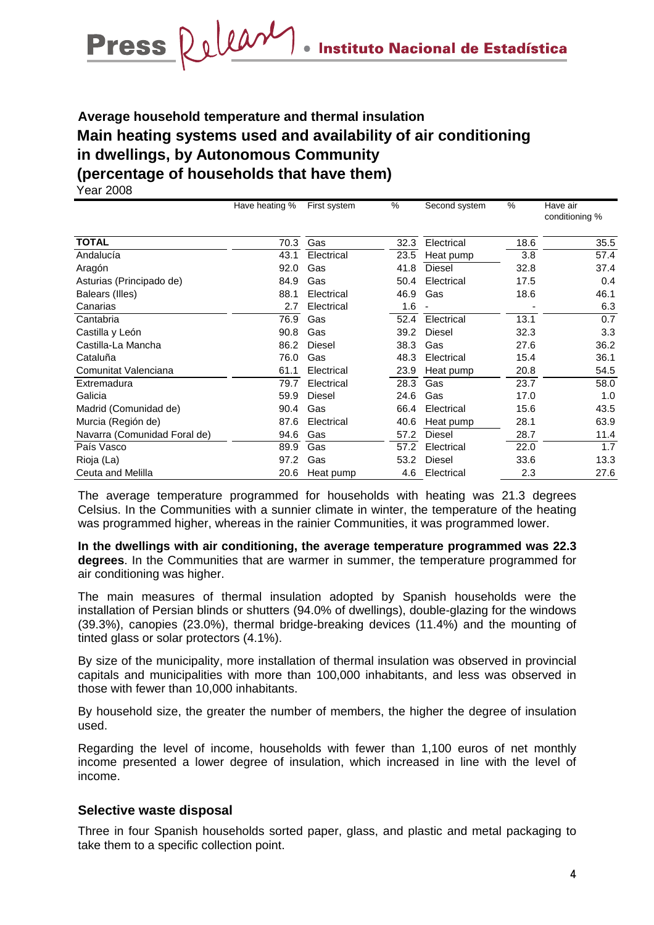# **Average household temperature and thermal insulation Main heating systems used and availability of air conditioning in dwellings, by Autonomous Community (percentage of households that have them)**

Year 2008

|                              | Have heating % | First system  | %    | Second system | %    | Have air<br>conditioning % |
|------------------------------|----------------|---------------|------|---------------|------|----------------------------|
| <b>TOTAL</b>                 | 70.3           | Gas           | 32.3 | Electrical    | 18.6 | 35.5                       |
|                              |                |               |      |               |      |                            |
| Andalucía                    | 43.1           | Electrical    | 23.5 | Heat pump     | 3.8  | 57.4                       |
| Aragón                       | 92.0           | Gas           | 41.8 | <b>Diesel</b> | 32.8 | 37.4                       |
| Asturias (Principado de)     | 84.9           | Gas           | 50.4 | Electrical    | 17.5 | 0.4                        |
| Balears (Illes)              | 88.1           | Electrical    | 46.9 | Gas           | 18.6 | 46.1                       |
| Canarias                     | 2.7            | Electrical    | 1.6  |               |      | 6.3                        |
| Cantabria                    | 76.9           | Gas           | 52.4 | Electrical    | 13.1 | 0.7                        |
| Castilla y León              | 90.8           | Gas           | 39.2 | <b>Diesel</b> | 32.3 | 3.3                        |
| Castilla-La Mancha           | 86.2           | <b>Diesel</b> | 38.3 | Gas           | 27.6 | 36.2                       |
| Cataluña                     | 76.0           | Gas           | 48.3 | Electrical    | 15.4 | 36.1                       |
| Comunitat Valenciana         | 61.1           | Electrical    | 23.9 | Heat pump     | 20.8 | 54.5                       |
| Extremadura                  | 79.7           | Electrical    | 28.3 | Gas           | 23.7 | 58.0                       |
| Galicia                      | 59.9           | Diesel        | 24.6 | Gas           | 17.0 | 1.0                        |
| Madrid (Comunidad de)        | 90.4           | Gas           | 66.4 | Electrical    | 15.6 | 43.5                       |
| Murcia (Región de)           | 87.6           | Electrical    | 40.6 | Heat pump     | 28.1 | 63.9                       |
| Navarra (Comunidad Foral de) | 94.6           | Gas           | 57.2 | <b>Diesel</b> | 28.7 | 11.4                       |
| País Vasco                   | 89.9           | Gas           | 57.2 | Electrical    | 22.0 | 1.7                        |
| Rioja (La)                   | 97.2           | Gas           | 53.2 | <b>Diesel</b> | 33.6 | 13.3                       |
| Ceuta and Melilla            | 20.6           | Heat pump     | 4.6  | Electrical    | 2.3  | 27.6                       |

The average temperature programmed for households with heating was 21.3 degrees Celsius. In the Communities with a sunnier climate in winter, the temperature of the heating was programmed higher, whereas in the rainier Communities, it was programmed lower.

**In the dwellings with air conditioning, the average temperature programmed was 22.3 degrees**. In the Communities that are warmer in summer, the temperature programmed for air conditioning was higher.

The main measures of thermal insulation adopted by Spanish households were the installation of Persian blinds or shutters (94.0% of dwellings), double-glazing for the windows (39.3%), canopies (23.0%), thermal bridge-breaking devices (11.4%) and the mounting of tinted glass or solar protectors (4.1%).

By size of the municipality, more installation of thermal insulation was observed in provincial capitals and municipalities with more than 100,000 inhabitants, and less was observed in those with fewer than 10,000 inhabitants.

By household size, the greater the number of members, the higher the degree of insulation used.

Regarding the level of income, households with fewer than 1,100 euros of net monthly income presented a lower degree of insulation, which increased in line with the level of income.

#### **Selective waste disposal**

Three in four Spanish households sorted paper, glass, and plastic and metal packaging to take them to a specific collection point.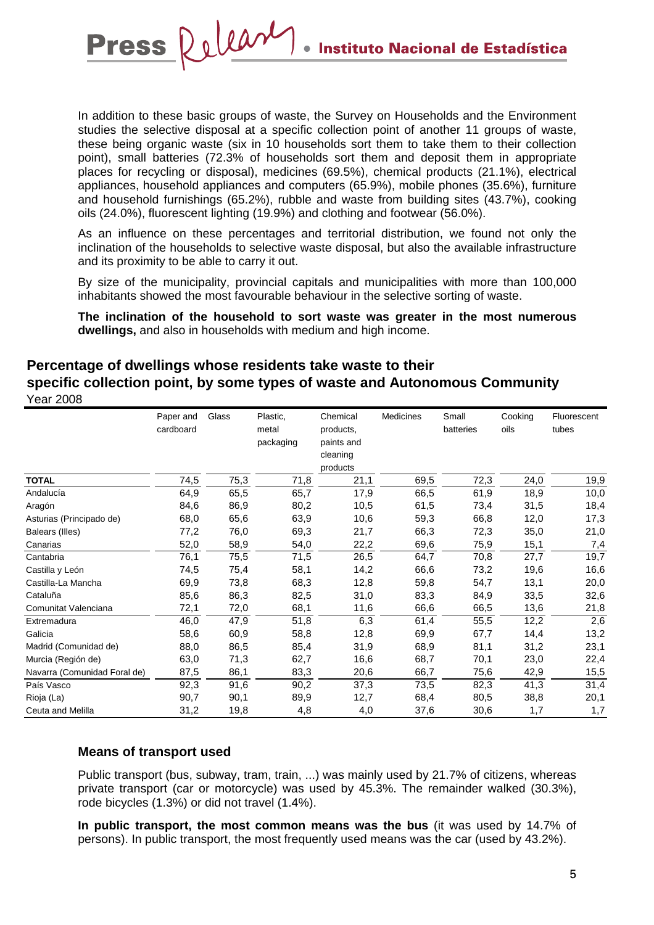In addition to these basic groups of waste, the Survey on Households and the Environment studies the selective disposal at a specific collection point of another 11 groups of waste, these being organic waste (six in 10 households sort them to take them to their collection point), small batteries (72.3% of households sort them and deposit them in appropriate places for recycling or disposal), medicines (69.5%), chemical products (21.1%), electrical appliances, household appliances and computers (65.9%), mobile phones (35.6%), furniture and household furnishings (65.2%), rubble and waste from building sites (43.7%), cooking oils (24.0%), fluorescent lighting (19.9%) and clothing and footwear (56.0%).

Release

**Press** 

As an influence on these percentages and territorial distribution, we found not only the inclination of the households to selective waste disposal, but also the available infrastructure and its proximity to be able to carry it out.

By size of the municipality, provincial capitals and municipalities with more than 100,000 inhabitants showed the most favourable behaviour in the selective sorting of waste.

**The inclination of the household to sort waste was greater in the most numerous dwellings,** and also in households with medium and high income.

# **Percentage of dwellings whose residents take waste to their specific collection point, by some types of waste and Autonomous Community** Year 2008

|                              | Paper and<br>cardboard | Glass | Plastic,<br>metal<br>packaging | Chemical<br>products,<br>paints and<br>cleaning | Medicines | Small<br>batteries | Cooking<br>oils | Fluorescent<br>tubes |
|------------------------------|------------------------|-------|--------------------------------|-------------------------------------------------|-----------|--------------------|-----------------|----------------------|
|                              |                        |       |                                | products                                        |           |                    |                 |                      |
| <b>TOTAL</b>                 | 74,5                   | 75,3  | 71,8                           | 21,1                                            | 69,5      | 72,3               | 24,0            | 19,9                 |
| Andalucía                    | 64,9                   | 65,5  | 65,7                           | 17,9                                            | 66,5      | 61,9               | 18,9            | 10,0                 |
| Aragón                       | 84,6                   | 86,9  | 80,2                           | 10,5                                            | 61,5      | 73,4               | 31,5            | 18,4                 |
| Asturias (Principado de)     | 68,0                   | 65,6  | 63,9                           | 10,6                                            | 59,3      | 66,8               | 12,0            | 17,3                 |
| Balears (Illes)              | 77,2                   | 76,0  | 69,3                           | 21,7                                            | 66,3      | 72,3               | 35,0            | 21,0                 |
| Canarias                     | 52,0                   | 58,9  | 54,0                           | 22,2                                            | 69,6      | 75,9               | 15,1            | 7,4                  |
| Cantabria                    | 76,1                   | 75,5  | 71,5                           | 26,5                                            | 64,7      | 70,8               | 27,7            | 19,7                 |
| Castilla y León              | 74,5                   | 75,4  | 58,1                           | 14,2                                            | 66,6      | 73,2               | 19,6            | 16,6                 |
| Castilla-La Mancha           | 69,9                   | 73,8  | 68,3                           | 12,8                                            | 59,8      | 54,7               | 13,1            | 20,0                 |
| Cataluña                     | 85,6                   | 86,3  | 82,5                           | 31,0                                            | 83,3      | 84,9               | 33,5            | 32,6                 |
| Comunitat Valenciana         | 72,1                   | 72,0  | 68,1                           | 11,6                                            | 66,6      | 66,5               | 13,6            | 21,8                 |
| Extremadura                  | 46,0                   | 47,9  | 51,8                           | 6,3                                             | 61,4      | 55,5               | 12,2            | 2,6                  |
| Galicia                      | 58,6                   | 60,9  | 58,8                           | 12,8                                            | 69,9      | 67,7               | 14,4            | 13,2                 |
| Madrid (Comunidad de)        | 88,0                   | 86,5  | 85,4                           | 31,9                                            | 68,9      | 81,1               | 31,2            | 23,1                 |
| Murcia (Región de)           | 63,0                   | 71,3  | 62,7                           | 16,6                                            | 68,7      | 70,1               | 23,0            | 22,4                 |
| Navarra (Comunidad Foral de) | 87,5                   | 86,1  | 83,3                           | 20,6                                            | 66,7      | 75,6               | 42,9            | 15,5                 |
| País Vasco                   | 92,3                   | 91,6  | 90,2                           | 37,3                                            | 73,5      | 82,3               | 41,3            | 31,4                 |
| Rioja (La)                   | 90,7                   | 90,1  | 89,9                           | 12,7                                            | 68,4      | 80,5               | 38,8            | 20,1                 |
| Ceuta and Melilla            | 31,2                   | 19,8  | 4,8                            | 4,0                                             | 37,6      | 30,6               | 1,7             | 1,7                  |

## **Means of transport used**

Public transport (bus, subway, tram, train, ...) was mainly used by 21.7% of citizens, whereas private transport (car or motorcycle) was used by 45.3%. The remainder walked (30.3%), rode bicycles (1.3%) or did not travel (1.4%).

**In public transport, the most common means was the bus** (it was used by 14.7% of persons). In public transport, the most frequently used means was the car (used by 43.2%).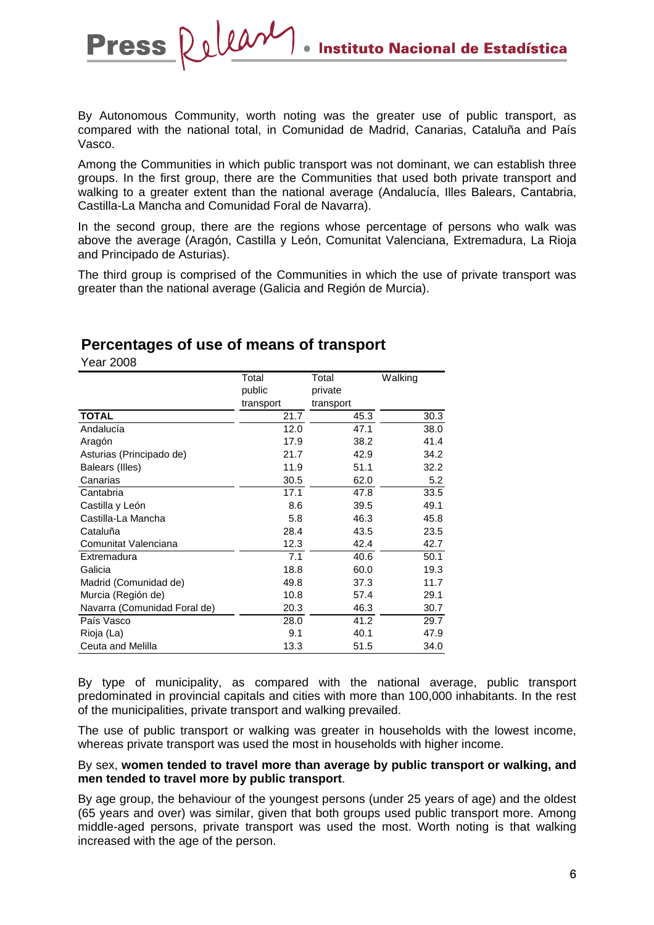By Autonomous Community, worth noting was the greater use of public transport, as compared with the national total, in Comunidad de Madrid, Canarias, Cataluña and País Vasco.

Among the Communities in which public transport was not dominant, we can establish three groups. In the first group, there are the Communities that used both private transport and walking to a greater extent than the national average (Andalucía, Illes Balears, Cantabria, Castilla-La Mancha and Comunidad Foral de Navarra).

In the second group, there are the regions whose percentage of persons who walk was above the average (Aragón, Castilla y León, Comunitat Valenciana, Extremadura, La Rioja and Principado de Asturias).

The third group is comprised of the Communities in which the use of private transport was greater than the national average (Galicia and Región de Murcia).

# **Percentages of use of means of transport**

Release

Year 2008

**Press** 

|                              | Total     | Total     | Walking |
|------------------------------|-----------|-----------|---------|
|                              | public    | private   |         |
|                              | transport | transport |         |
| <b>TOTAL</b>                 | 21.7      | 45.3      | 30.3    |
| Andalucía                    | 12.0      | 47.1      | 38.0    |
| Aragón                       | 17.9      | 38.2      | 41.4    |
| Asturias (Principado de)     | 21.7      | 42.9      | 34.2    |
| Balears (Illes)              | 11.9      | 51.1      | 32.2    |
| Canarias                     | 30.5      | 62.0      | 5.2     |
| Cantabria                    | 17.1      | 47.8      | 33.5    |
| Castilla y León              | 8.6       | 39.5      | 49.1    |
| Castilla-La Mancha           | 5.8       | 46.3      | 45.8    |
| Cataluña                     | 28.4      | 43.5      | 23.5    |
| Comunitat Valenciana         | 12.3      | 42.4      | 42.7    |
| Extremadura                  | 7.1       | 40.6      | 50.1    |
| Galicia                      | 18.8      | 60.0      | 19.3    |
| Madrid (Comunidad de)        | 49.8      | 37.3      | 11.7    |
| Murcia (Región de)           | 10.8      | 57.4      | 29.1    |
| Navarra (Comunidad Foral de) | 20.3      | 46.3      | 30.7    |
| País Vasco                   | 28.0      | 41.2      | 29.7    |
| Rioja (La)                   | 9.1       | 40.1      | 47.9    |
| Ceuta and Melilla            | 13.3      | 51.5      | 34.0    |

By type of municipality, as compared with the national average, public transport predominated in provincial capitals and cities with more than 100,000 inhabitants. In the rest of the municipalities, private transport and walking prevailed.

The use of public transport or walking was greater in households with the lowest income, whereas private transport was used the most in households with higher income.

#### By sex, **women tended to travel more than average by public transport or walking, and men tended to travel more by public transport**.

By age group, the behaviour of the youngest persons (under 25 years of age) and the oldest (65 years and over) was similar, given that both groups used public transport more. Among middle-aged persons, private transport was used the most. Worth noting is that walking increased with the age of the person.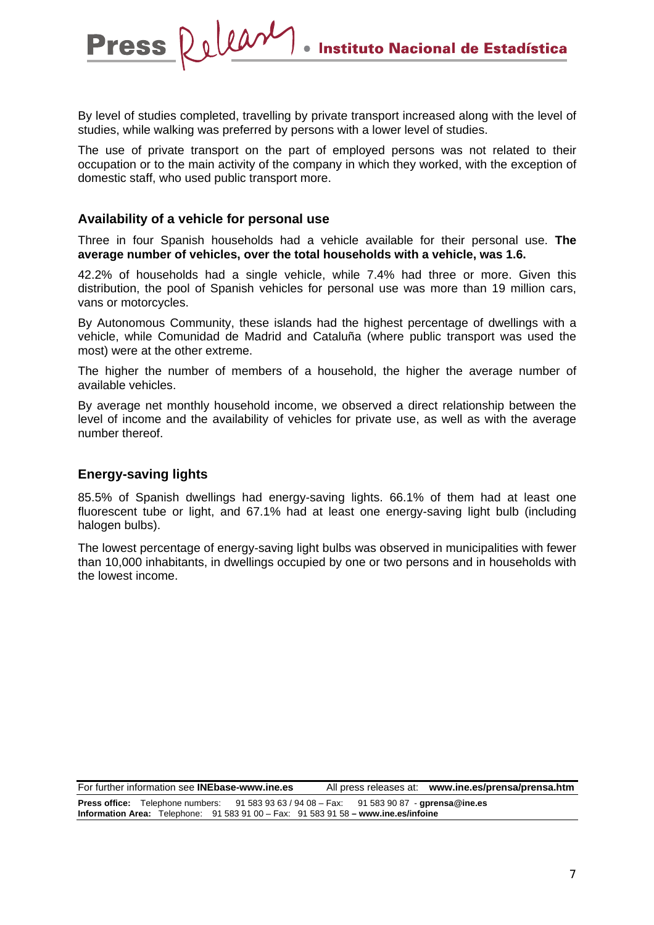By level of studies completed, travelling by private transport increased along with the level of studies, while walking was preferred by persons with a lower level of studies.

The use of private transport on the part of employed persons was not related to their occupation or to the main activity of the company in which they worked, with the exception of domestic staff, who used public transport more.

#### **Availability of a vehicle for personal use**

Press Release

Three in four Spanish households had a vehicle available for their personal use. **The average number of vehicles, over the total households with a vehicle, was 1.6.** 

42.2% of households had a single vehicle, while 7.4% had three or more. Given this distribution, the pool of Spanish vehicles for personal use was more than 19 million cars, vans or motorcycles.

By Autonomous Community, these islands had the highest percentage of dwellings with a vehicle, while Comunidad de Madrid and Cataluña (where public transport was used the most) were at the other extreme.

The higher the number of members of a household, the higher the average number of available vehicles.

By average net monthly household income, we observed a direct relationship between the level of income and the availability of vehicles for private use, as well as with the average number thereof.

## **Energy-saving lights**

85.5% of Spanish dwellings had energy-saving lights. 66.1% of them had at least one fluorescent tube or light, and 67.1% had at least one energy-saving light bulb (including halogen bulbs).

The lowest percentage of energy-saving light bulbs was observed in municipalities with fewer than 10,000 inhabitants, in dwellings occupied by one or two persons and in households with the lowest income.

For further information see **INEbase-www.ine.es** All press releases at: **www.ine.es/prensa/prensa.htm Press office:** Telephone numbers: 91 583 93 63 / 94 08 – Fax: 91 583 90 87 - **gprensa@ine.es Information Area:** Telephone: 91 583 91 00 – Fax: 91 583 91 58 **– www.ine.es/infoine**